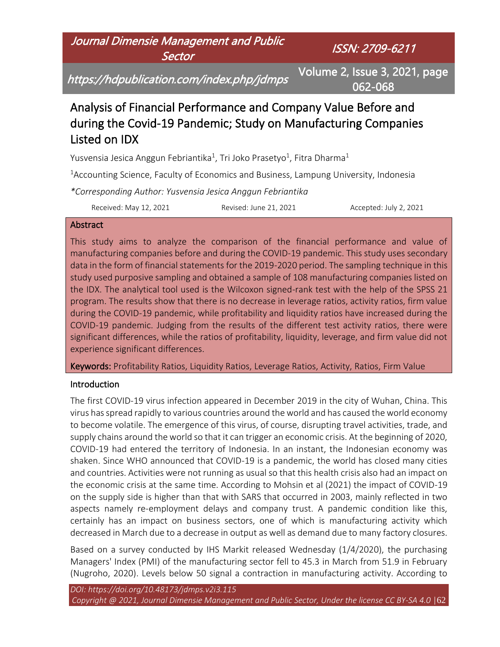## Journal Dimensie Management and Public **Sector**

ISSN: 2709-6211

https://hdpublication.com/index.php/jdmps

Volume 2, Issue 3, 2021, page 062-068

# Analysis of Financial Performance and Company Value Before and during the Covid-19 Pandemic; Study on Manufacturing Companies Listed on IDX

Yusvensia Jesica Anggun Febriantika<sup>1</sup>, Tri Joko Prasetyo<sup>1</sup>, Fitra Dharma<sup>1</sup>

<sup>1</sup> Accounting Science, Faculty of Economics and Business, Lampung University, Indonesia

*\*Corresponding Author: Yusvensia Jesica Anggun Febriantika*

Received: May 12, 2021 Revised: June 21, 2021 Accepted: July 2, 2021

#### Abstract

This study aims to analyze the comparison of the financial performance and value of manufacturing companies before and during the COVID-19 pandemic. This study uses secondary data in the form of financial statements for the 2019-2020 period. The sampling technique in this study used purposive sampling and obtained a sample of 108 manufacturing companies listed on the IDX. The analytical tool used is the Wilcoxon signed-rank test with the help of the SPSS 21 program. The results show that there is no decrease in leverage ratios, activity ratios, firm value during the COVID-19 pandemic, while profitability and liquidity ratios have increased during the COVID-19 pandemic. Judging from the results of the different test activity ratios, there were significant differences, while the ratios of profitability, liquidity, leverage, and firm value did not experience significant differences.

Keywords: Profitability Ratios, Liquidity Ratios, Leverage Ratios, Activity, Ratios, Firm Value

## Introduction

The first COVID-19 virus infection appeared in December 2019 in the city of Wuhan, China. This virus has spread rapidly to various countries around the world and has caused the world economy to become volatile. The emergence of this virus, of course, disrupting travel activities, trade, and supply chains around the world so that it can trigger an economic crisis. At the beginning of 2020, COVID-19 had entered the territory of Indonesia. In an instant, the Indonesian economy was shaken. Since WHO announced that COVID-19 is a pandemic, the world has closed many cities and countries. Activities were not running as usual so that this health crisis also had an impact on the economic crisis at the same time. According to Mohsin et al (2021) the impact of COVID-19 on the supply side is higher than that with SARS that occurred in 2003, mainly reflected in two aspects namely re-employment delays and company trust. A pandemic condition like this, certainly has an impact on business sectors, one of which is manufacturing activity which decreased in March due to a decrease in output as well as demand due to many factory closures.

Based on a survey conducted by IHS Markit released Wednesday (1/4/2020), the purchasing Managers' Index (PMI) of the manufacturing sector fell to 45.3 in March from 51.9 in February (Nugroho, 2020). Levels below 50 signal a contraction in manufacturing activity. According to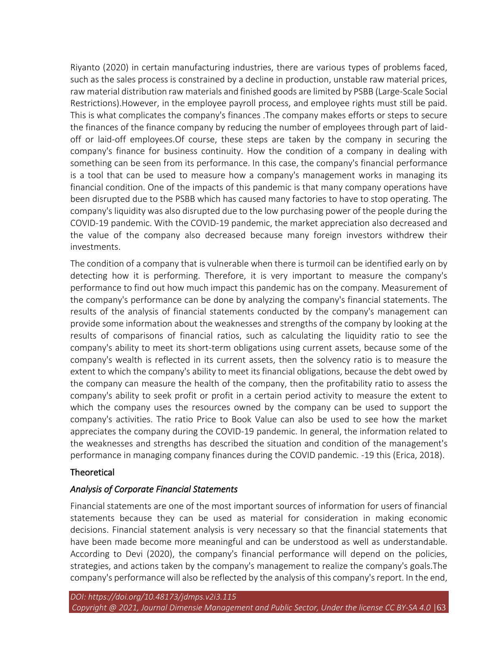Riyanto (2020) in certain manufacturing industries, there are various types of problems faced, such as the sales process is constrained by a decline in production, unstable raw material prices, raw material distribution raw materials and finished goods are limited by PSBB (Large-Scale Social Restrictions).However, in the employee payroll process, and employee rights must still be paid. This is what complicates the company's finances .The company makes efforts or steps to secure the finances of the finance company by reducing the number of employees through part of laidoff or laid-off employees.Of course, these steps are taken by the company in securing the company's finance for business continuity. How the condition of a company in dealing with something can be seen from its performance. In this case, the company's financial performance is a tool that can be used to measure how a company's management works in managing its financial condition. One of the impacts of this pandemic is that many company operations have been disrupted due to the PSBB which has caused many factories to have to stop operating. The company's liquidity was also disrupted due to the low purchasing power of the people during the COVID-19 pandemic. With the COVID-19 pandemic, the market appreciation also decreased and the value of the company also decreased because many foreign investors withdrew their investments.

The condition of a company that is vulnerable when there is turmoil can be identified early on by detecting how it is performing. Therefore, it is very important to measure the company's performance to find out how much impact this pandemic has on the company. Measurement of the company's performance can be done by analyzing the company's financial statements. The results of the analysis of financial statements conducted by the company's management can provide some information about the weaknesses and strengths of the company by looking at the results of comparisons of financial ratios, such as calculating the liquidity ratio to see the company's ability to meet its short-term obligations using current assets, because some of the company's wealth is reflected in its current assets, then the solvency ratio is to measure the extent to which the company's ability to meet its financial obligations, because the debt owed by the company can measure the health of the company, then the profitability ratio to assess the company's ability to seek profit or profit in a certain period activity to measure the extent to which the company uses the resources owned by the company can be used to support the company's activities. The ratio Price to Book Value can also be used to see how the market appreciates the company during the COVID-19 pandemic. In general, the information related to the weaknesses and strengths has described the situation and condition of the management's performance in managing company finances during the COVID pandemic. -19 this (Erica, 2018).

#### **Theoretical**

#### *Analysis of Corporate Financial Statements*

Financial statements are one of the most important sources of information for users of financial statements because they can be used as material for consideration in making economic decisions. Financial statement analysis is very necessary so that the financial statements that have been made become more meaningful and can be understood as well as understandable. According to Devi (2020), the company's financial performance will depend on the policies, strategies, and actions taken by the company's management to realize the company's goals.The company's performance will also be reflected by the analysis of this company's report. In the end,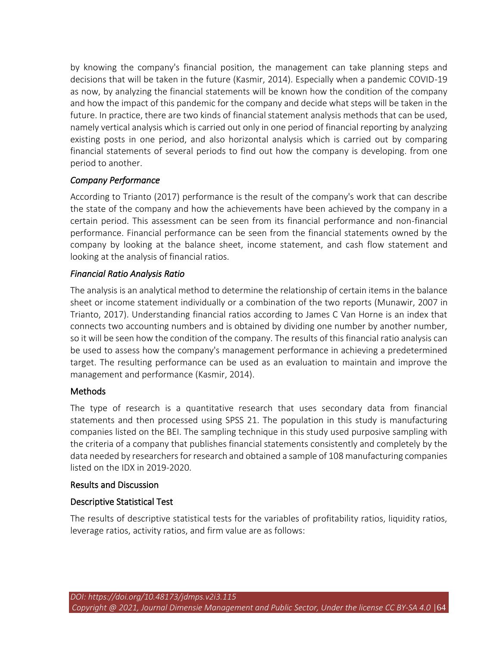by knowing the company's financial position, the management can take planning steps and decisions that will be taken in the future (Kasmir, 2014). Especially when a pandemic COVID-19 as now, by analyzing the financial statements will be known how the condition of the company and how the impact of this pandemic for the company and decide what steps will be taken in the future. In practice, there are two kinds of financial statement analysis methods that can be used, namely vertical analysis which is carried out only in one period of financial reporting by analyzing existing posts in one period, and also horizontal analysis which is carried out by comparing financial statements of several periods to find out how the company is developing. from one period to another.

## *Company Performance*

According to Trianto (2017) performance is the result of the company's work that can describe the state of the company and how the achievements have been achieved by the company in a certain period. This assessment can be seen from its financial performance and non-financial performance. Financial performance can be seen from the financial statements owned by the company by looking at the balance sheet, income statement, and cash flow statement and looking at the analysis of financial ratios.

#### *Financial Ratio Analysis Ratio*

The analysis is an analytical method to determine the relationship of certain items in the balance sheet or income statement individually or a combination of the two reports (Munawir, 2007 in Trianto, 2017). Understanding financial ratios according to James C Van Horne is an index that connects two accounting numbers and is obtained by dividing one number by another number, so it will be seen how the condition of the company. The results of this financial ratio analysis can be used to assess how the company's management performance in achieving a predetermined target. The resulting performance can be used as an evaluation to maintain and improve the management and performance (Kasmir, 2014).

#### **Methods**

The type of research is a quantitative research that uses secondary data from financial statements and then processed using SPSS 21. The population in this study is manufacturing companies listed on the BEI. The sampling technique in this study used purposive sampling with the criteria of a company that publishes financial statements consistently and completely by the data needed by researchers for research and obtained a sample of 108 manufacturing companies listed on the IDX in 2019-2020.

#### Results and Discussion

#### Descriptive Statistical Test

The results of descriptive statistical tests for the variables of profitability ratios, liquidity ratios, leverage ratios, activity ratios, and firm value are as follows: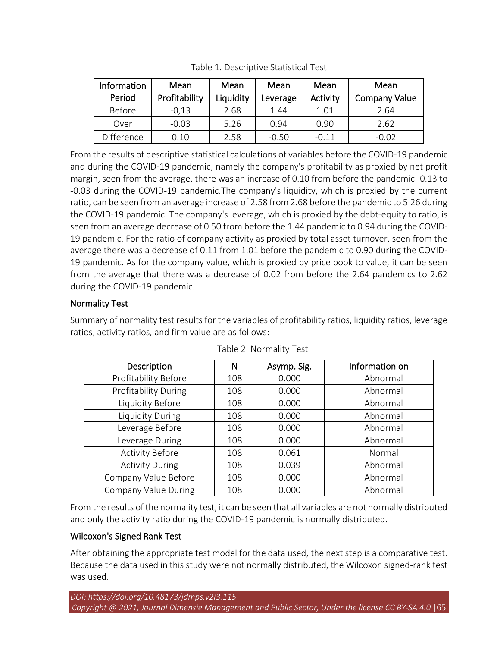| Information | Mean          | Mean      | Mean     | Mean     | Mean                 |
|-------------|---------------|-----------|----------|----------|----------------------|
| Period      | Profitability | Liquidity | Leverage | Activity | <b>Company Value</b> |
| Before      | $-0,13$       | 2.68      | 1.44     | 1.01     | 2.64                 |
| Over        | $-0.03$       | 5.26      | 0.94     | 0.90     | 2.62                 |
| Difference  | 0.10          | 2.58      | $-0.50$  | $-0.11$  | $-0.02$              |

Table 1. Descriptive Statistical Test

From the results of descriptive statistical calculations of variables before the COVID-19 pandemic and during the COVID-19 pandemic, namely the company's profitability as proxied by net profit margin, seen from the average, there was an increase of 0.10 from before the pandemic -0.13 to -0.03 during the COVID-19 pandemic.The company's liquidity, which is proxied by the current ratio, can be seen from an average increase of 2.58 from 2.68 before the pandemic to 5.26 during the COVID-19 pandemic. The company's leverage, which is proxied by the debt-equity to ratio, is seen from an average decrease of 0.50 from before the 1.44 pandemic to 0.94 during the COVID-19 pandemic. For the ratio of company activity as proxied by total asset turnover, seen from the average there was a decrease of 0.11 from 1.01 before the pandemic to 0.90 during the COVID-19 pandemic. As for the company value, which is proxied by price book to value, it can be seen from the average that there was a decrease of 0.02 from before the 2.64 pandemics to 2.62 during the COVID-19 pandemic.

## Normality Test

Summary of normality test results for the variables of profitability ratios, liquidity ratios, leverage ratios, activity ratios, and firm value are as follows:

| Description                 | Ν   | Asymp. Sig. | Information on |  |
|-----------------------------|-----|-------------|----------------|--|
| Profitability Before        | 108 | 0.000       | Abnormal       |  |
| <b>Profitability During</b> | 108 | 0.000       | Abnormal       |  |
| Liquidity Before            | 108 | 0.000       | Abnormal       |  |
| Liquidity During            | 108 | 0.000       | Abnormal       |  |
| Leverage Before             | 108 | 0.000       | Abnormal       |  |
| Leverage During             | 108 | 0.000       | Abnormal       |  |
| <b>Activity Before</b>      | 108 | 0.061       | Normal         |  |
| <b>Activity During</b>      | 108 | 0.039       | Abnormal       |  |
| Company Value Before        | 108 | 0.000       | Abnormal       |  |
| Company Value During        | 108 | 0.000       | Abnormal       |  |

Table 2. Normality Test

From the results of the normality test, it can be seen that all variables are not normally distributed and only the activity ratio during the COVID-19 pandemic is normally distributed.

## Wilcoxon's Signed Rank Test

After obtaining the appropriate test model for the data used, the next step is a comparative test. Because the data used in this study were not normally distributed, the Wilcoxon signed-rank test was used.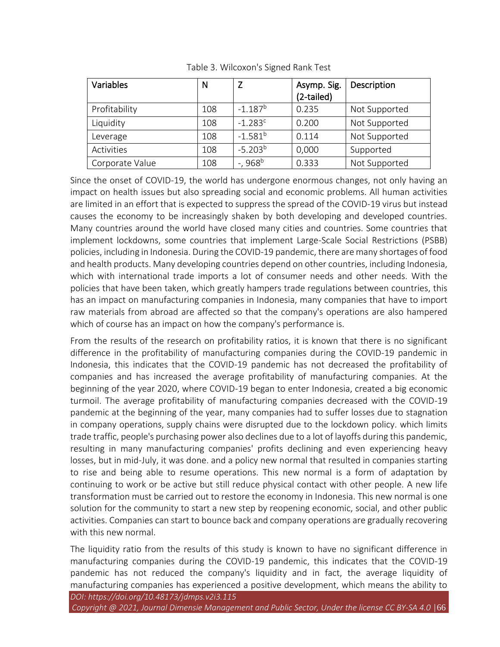| Variables       | N   |                        | Asymp. Sig.<br>(2-tailed) | Description   |
|-----------------|-----|------------------------|---------------------------|---------------|
| Profitability   | 108 | $-1.187^b$             | 0.235                     | Not Supported |
| Liquidity       | 108 | $-1.283$ <sup>c</sup>  | 0.200                     | Not Supported |
| Leverage        | 108 | $-1.581^{b}$           | 0.114                     | Not Supported |
| Activities      | 108 | $-5.203^{b}$           | 0,000                     | Supported     |
| Corporate Value | 108 | $-$ , 968 <sup>b</sup> | 0.333                     | Not Supported |

Table 3. Wilcoxon's Signed Rank Test

Since the onset of COVID-19, the world has undergone enormous changes, not only having an impact on health issues but also spreading social and economic problems. All human activities are limited in an effort that is expected to suppress the spread of the COVID-19 virus but instead causes the economy to be increasingly shaken by both developing and developed countries. Many countries around the world have closed many cities and countries. Some countries that implement lockdowns, some countries that implement Large-Scale Social Restrictions (PSBB) policies, including in Indonesia. During the COVID-19 pandemic, there are many shortages of food and health products. Many developing countries depend on other countries, including Indonesia, which with international trade imports a lot of consumer needs and other needs. With the policies that have been taken, which greatly hampers trade regulations between countries, this has an impact on manufacturing companies in Indonesia, many companies that have to import raw materials from abroad are affected so that the company's operations are also hampered which of course has an impact on how the company's performance is.

From the results of the research on profitability ratios, it is known that there is no significant difference in the profitability of manufacturing companies during the COVID-19 pandemic in Indonesia, this indicates that the COVID-19 pandemic has not decreased the profitability of companies and has increased the average profitability of manufacturing companies. At the beginning of the year 2020, where COVID-19 began to enter Indonesia, created a big economic turmoil. The average profitability of manufacturing companies decreased with the COVID-19 pandemic at the beginning of the year, many companies had to suffer losses due to stagnation in company operations, supply chains were disrupted due to the lockdown policy. which limits trade traffic, people's purchasing power also declines due to a lot of layoffs during this pandemic, resulting in many manufacturing companies' profits declining and even experiencing heavy losses, but in mid-July, it was done. and a policy new normal that resulted in companies starting to rise and being able to resume operations. This new normal is a form of adaptation by continuing to work or be active but still reduce physical contact with other people. A new life transformation must be carried out to restore the economy in Indonesia. This new normal is one solution for the community to start a new step by reopening economic, social, and other public activities. Companies can start to bounce back and company operations are gradually recovering with this new normal.

The liquidity ratio from the results of this study is known to have no significant difference in manufacturing companies during the COVID-19 pandemic, this indicates that the COVID-19 pandemic has not reduced the company's liquidity and in fact, the average liquidity of manufacturing companies has experienced a positive development, which means the ability to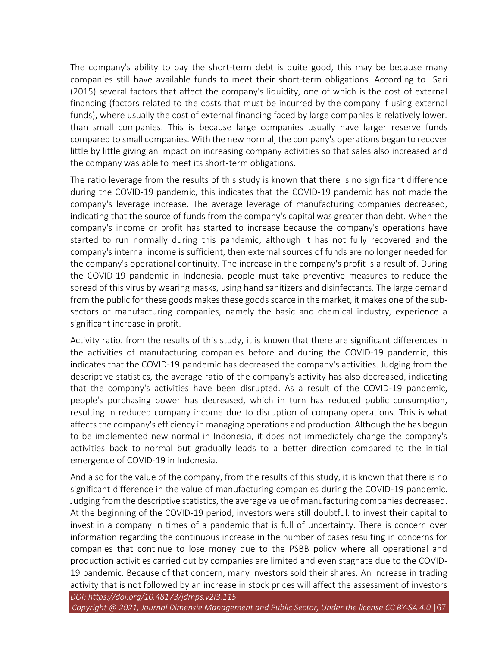The company's ability to pay the short-term debt is quite good, this may be because many companies still have available funds to meet their short-term obligations. According to Sari (2015) several factors that affect the company's liquidity, one of which is the cost of external financing (factors related to the costs that must be incurred by the company if using external funds), where usually the cost of external financing faced by large companies is relatively lower. than small companies. This is because large companies usually have larger reserve funds compared to small companies. With the new normal, the company's operations began to recover little by little giving an impact on increasing company activities so that sales also increased and the company was able to meet its short-term obligations.

The ratio leverage from the results of this study is known that there is no significant difference during the COVID-19 pandemic, this indicates that the COVID-19 pandemic has not made the company's leverage increase. The average leverage of manufacturing companies decreased, indicating that the source of funds from the company's capital was greater than debt. When the company's income or profit has started to increase because the company's operations have started to run normally during this pandemic, although it has not fully recovered and the company's internal income is sufficient, then external sources of funds are no longer needed for the company's operational continuity. The increase in the company's profit is a result of. During the COVID-19 pandemic in Indonesia, people must take preventive measures to reduce the spread of this virus by wearing masks, using hand sanitizers and disinfectants. The large demand from the public for these goods makes these goods scarce in the market, it makes one of the subsectors of manufacturing companies, namely the basic and chemical industry, experience a significant increase in profit.

Activity ratio. from the results of this study, it is known that there are significant differences in the activities of manufacturing companies before and during the COVID-19 pandemic, this indicates that the COVID-19 pandemic has decreased the company's activities. Judging from the descriptive statistics, the average ratio of the company's activity has also decreased, indicating that the company's activities have been disrupted. As a result of the COVID-19 pandemic, people's purchasing power has decreased, which in turn has reduced public consumption, resulting in reduced company income due to disruption of company operations. This is what affects the company's efficiency in managing operations and production. Although the has begun to be implemented new normal in Indonesia, it does not immediately change the company's activities back to normal but gradually leads to a better direction compared to the initial emergence of COVID-19 in Indonesia.

And also for the value of the company, from the results of this study, it is known that there is no significant difference in the value of manufacturing companies during the COVID-19 pandemic. Judging from the descriptive statistics, the average value of manufacturing companies decreased. At the beginning of the COVID-19 period, investors were still doubtful. to invest their capital to invest in a company in times of a pandemic that is full of uncertainty. There is concern over information regarding the continuous increase in the number of cases resulting in concerns for companies that continue to lose money due to the PSBB policy where all operational and production activities carried out by companies are limited and even stagnate due to the COVID-19 pandemic. Because of that concern, many investors sold their shares. An increase in trading activity that is not followed by an increase in stock prices will affect the assessment of investors